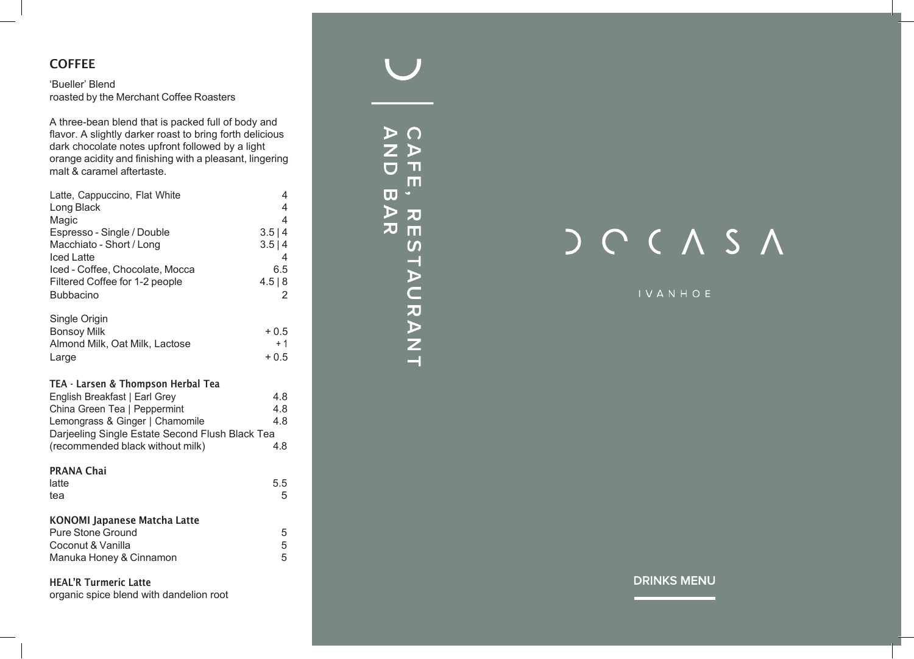## **COFFEE**

### 'Bueller' Blend roasted by the Merchant Coffee Roasters

A three-bean blend that is packed full of body and flavor. A slightly darker roast to bring forth delicious dark chocolate notes upfront followed by a light orange acidity and finishing with a pleasant, lingering malt & caramel aftertaste.

| Latte, Cappuccino, Flat White<br>Long Black     | 4<br>$\overline{4}$ |
|-------------------------------------------------|---------------------|
| Magic                                           | $\overline{4}$      |
| Espresso - Single / Double                      | 3.5 4               |
| Macchiato - Short / Long                        | 3.5 4               |
| <b>Iced Latte</b>                               | 4                   |
| Iced - Coffee, Chocolate, Mocca                 | 6.5                 |
| Filtered Coffee for 1-2 people                  | 4.5 8               |
| <b>Bubbacino</b>                                | 2                   |
| Single Origin                                   |                     |
| <b>Bonsoy Milk</b>                              | $+0.5$              |
| Almond Milk, Oat Milk, Lactose                  | $+1$                |
| Large                                           | $+0.5$              |
| TEA - Larsen & Thompson Herbal Tea              |                     |
| English Breakfast   Earl Grey                   | 4.8                 |
| China Green Tea   Peppermint                    | 4.8                 |
| Lemongrass & Ginger   Chamomile                 | 4.8                 |
| Darjeeling Single Estate Second Flush Black Tea |                     |
| (recommended black without milk)                | 4.8                 |
| <b>PRANA Chai</b>                               |                     |
| latte                                           | 5.5                 |
| tea                                             | 5                   |
| <b>KONOMI Japanese Matcha Latte</b>             |                     |
| <b>Pure Stone Ground</b>                        | 5                   |
| Coconut & Vanilla                               | 5                   |
| Manuka Honey & Cinnamon                         | 5                   |
| <b>HEAL'R Turmeric Latte</b>                    |                     |
| organic spice blend with dandelion root         |                     |

E  $\mathbf{D}% _{T}=\mathbf{D}_{T}\!\left( \mathbf{1}_{T}% \mathbf{1}_{T}\mathbf{1}_{T}\mathbf{1}_{T}\mathbf{1}_{T}\mathbf{1}_{T}\mathbf{1}_{T}\mathbf{1}_{T}\mathbf{1}_{T}\mathbf{1}_{T}\mathbf{1}_{T}\mathbf{1}_{T}\mathbf{1}_{T}\mathbf{1}_{T}\mathbf{1}_{T}\mathbf{1}_{T}\mathbf{1}_{T}\mathbf{1}_{T}\mathbf{1}_{T}\mathbf{1}_{T}\mathbf{1}_{T}\mathbf{1}_{T}\mathbf{1}_{T}$  $\mathbf{u}$  $\overline{\mathbf{C}}$ m  $\overline{\mathbf{u}}$  $\triangleright$  $\overline{z}$  $\overline{v}$  m STAURANT

# $C A S A$

### **IVANHOE**

**DRINKS MENU**